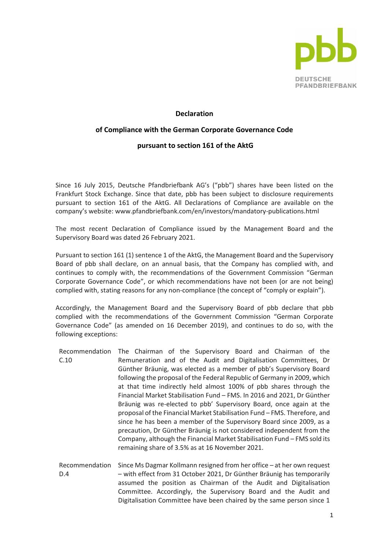

## **Declaration**

## **of Compliance with the German Corporate Governance Code**

## **pursuant to section 161 of the AktG**

Since 16 July 2015, Deutsche Pfandbriefbank AG's ("pbb") shares have been listed on the Frankfurt Stock Exchange. Since that date, pbb has been subject to disclosure requirements pursuant to section 161 of the AktG. All Declarations of Compliance are available on the company's website: www.pfandbriefbank.com/en/investors/mandatory-publications.html

The most recent Declaration of Compliance issued by the Management Board and the Supervisory Board was dated 26 February 2021.

Pursuant to section 161 (1) sentence 1 of the AktG, the Management Board and the Supervisory Board of pbb shall declare, on an annual basis, that the Company has complied with, and continues to comply with, the recommendations of the Government Commission "German Corporate Governance Code", or which recommendations have not been (or are not being) complied with, stating reasons for any non-compliance (the concept of "comply or explain").

Accordingly, the Management Board and the Supervisory Board of pbb declare that pbb complied with the recommendations of the Government Commission "German Corporate Governance Code" (as amended on 16 December 2019), and continues to do so, with the following exceptions:

- Recommendation The Chairman of the Supervisory Board and Chairman of the C.10 Remuneration and of the Audit and Digitalisation Committees, Dr Günther Bräunig, was elected as a member of pbb's Supervisory Board following the proposal of the Federal Republic of Germany in 2009, which at that time indirectly held almost 100% of pbb shares through the Financial Market Stabilisation Fund – FMS. In 2016 and 2021, Dr Günther Bräunig was re-elected to pbb' Supervisory Board, once again at the proposal of the Financial Market Stabilisation Fund – FMS. Therefore, and since he has been a member of the Supervisory Board since 2009, as a precaution, Dr Günther Bräunig is not considered independent from the Company, although the Financial Market Stabilisation Fund – FMS sold its remaining share of 3.5% as at 16 November 2021.
- Recommendation Since Ms Dagmar Kollmann resigned from her office at her own request D.4 – with effect from 31 October 2021, Dr Günther Bräunig has temporarily assumed the position as Chairman of the Audit and Digitalisation Committee. Accordingly, the Supervisory Board and the Audit and Digitalisation Committee have been chaired by the same person since 1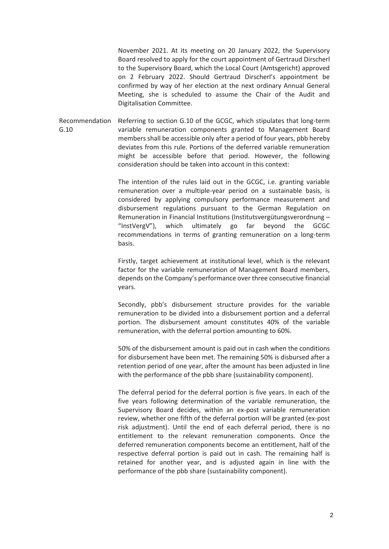November 2021. At its meeting on 20 January 2022, the Supervisory Board resolved to apply for the court appointment of Gertraud Dirscherl to the Supervisory Board, which the Local Court (Amtsgericht) approved on 2 February 2022. Should Gertraud Dirscherl's appointment be confirmed by way of her election at the next ordinary Annual General Meeting, she is scheduled to assume the Chair of the Audit and Digitalisation Committee.

Recommendation G.10 Referring to section G.10 of the GCGC, which stipulates that long-term variable remuneration components granted to Management Board members shall be accessible only after a period of four years, pbb hereby deviates from this rule. Portions of the deferred variable remuneration might be accessible before that period. However, the following consideration should be taken into account in this context:

> The intention of the rules laid out in the GCGC, i.e. granting variable remuneration over a multiple-year period on a sustainable basis, is considered by applying compulsory performance measurement and disbursement regulations pursuant to the German Regulation on Remuneration in Financial Institutions (Institutsvergütungsverordnung – "InstVergV"), which ultimately go far beyond the GCGC recommendations in terms of granting remuneration on a long-term basis.

> Firstly, target achievement at institutional level, which is the relevant factor for the variable remuneration of Management Board members, depends on the Company's performance over three consecutive financial years.

> Secondly, pbb's disbursement structure provides for the variable remuneration to be divided into a disbursement portion and a deferral portion. The disbursement amount constitutes 40% of the variable remuneration, with the deferral portion amounting to 60%.

> 50% of the disbursement amount is paid out in cash when the conditions for disbursement have been met. The remaining 50% is disbursed after a retention period of one year, after the amount has been adjusted in line with the performance of the pbb share (sustainability component).

> The deferral period for the deferral portion is five years. In each of the five years following determination of the variable remuneration, the Supervisory Board decides, within an ex-post variable remuneration review, whether one fifth of the deferral portion will be granted (ex-post risk adjustment). Until the end of each deferral period, there is no entitlement to the relevant remuneration components. Once the deferred remuneration components become an entitlement, half of the respective deferral portion is paid out in cash. The remaining half is retained for another year, and is adjusted again in line with the performance of the pbb share (sustainability component).